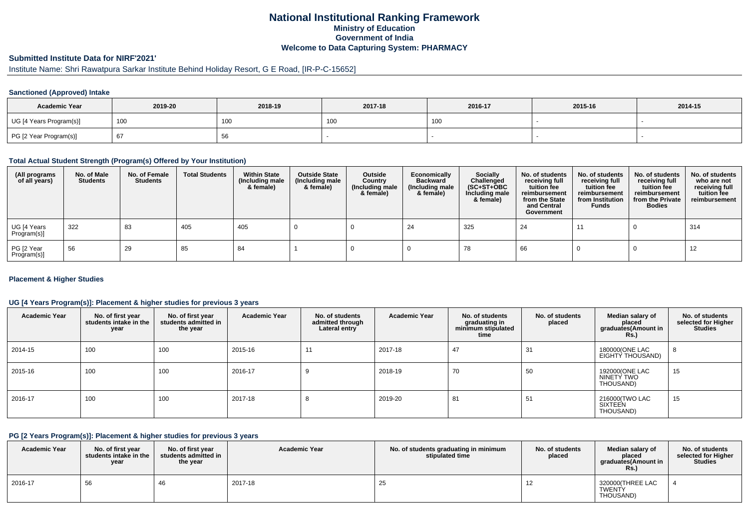# **National Institutional Ranking FrameworkMinistry of Education Government of IndiaWelcome to Data Capturing System: PHARMACY**

# **Submitted Institute Data for NIRF'2021'**

# Institute Name: Shri Rawatpura Sarkar Institute Behind Holiday Resort, G E Road, [IR-P-C-15652]

### **Sanctioned (Approved) Intake**

| <b>Academic Year</b>    | 2019-20 | 2018-19 | 2017-18 | 2016-17 | 2015-16 | 2014-15 |
|-------------------------|---------|---------|---------|---------|---------|---------|
| UG [4 Years Program(s)] | 100     | 100     | , UU    | 100     |         |         |
| PG [2 Year Program(s)]  | 67      | oc      |         |         |         |         |

### **Total Actual Student Strength (Program(s) Offered by Your Institution)**

| (All programs<br>of all years) | No. of Male<br><b>Students</b> | No. of Female<br><b>Students</b> | <b>Total Students</b> | <b>Within State</b><br>(Including male<br>& female) | <b>Outside State</b><br>(Including male<br>& female) | Outside<br>Country<br>(Including male<br>& female) | Economically<br><b>Backward</b><br>(Including male<br>& female) | <b>Socially</b><br>Challenged<br>$(SC+ST+OBC)$<br>Including male<br>& female) | No. of students<br>receiving full<br>tuition fee<br>reimbursement<br>from the State<br>and Central<br>Government | No. of students<br>receiving full<br>tuition fee<br>reimbursement<br>from Institution<br><b>Funds</b> | No. of students<br>receiving full<br>tuition fee<br>reimbursement<br>from the Private<br><b>Bodies</b> | No. of students<br>who are not<br>receiving full<br>tuition fee<br>reimbursement |
|--------------------------------|--------------------------------|----------------------------------|-----------------------|-----------------------------------------------------|------------------------------------------------------|----------------------------------------------------|-----------------------------------------------------------------|-------------------------------------------------------------------------------|------------------------------------------------------------------------------------------------------------------|-------------------------------------------------------------------------------------------------------|--------------------------------------------------------------------------------------------------------|----------------------------------------------------------------------------------|
| UG [4 Years<br>Program(s)]     | 322                            | 83                               | 405                   | 405                                                 |                                                      |                                                    | -24                                                             | 325                                                                           | 24                                                                                                               | 11                                                                                                    |                                                                                                        | 314                                                                              |
| PG [2 Year<br>Program(s)]      | 56                             | 29                               | 85                    | 84                                                  |                                                      |                                                    |                                                                 | 78                                                                            | 66                                                                                                               |                                                                                                       |                                                                                                        | 12                                                                               |

### **Placement & Higher Studies**

### **UG [4 Years Program(s)]: Placement & higher studies for previous 3 years**

| <b>Academic Year</b> | No. of first year<br>students intake in the<br>year | No. of first year<br>students admitted in<br>the year | <b>Academic Year</b> | No. of students<br>admitted through<br>Lateral entry | <b>Academic Year</b> | No. of students<br>graduating in<br>minimum stipulated<br>time | No. of students<br>placed | Median salary of<br>placed<br>graduates(Amount in<br><b>Rs.)</b> | No. of students<br>selected for Higher<br><b>Studies</b> |
|----------------------|-----------------------------------------------------|-------------------------------------------------------|----------------------|------------------------------------------------------|----------------------|----------------------------------------------------------------|---------------------------|------------------------------------------------------------------|----------------------------------------------------------|
| 2014-15              | 100                                                 | 100                                                   | 2015-16              | 44                                                   | 2017-18              | 47                                                             | 31                        | 180000(ONE LAC<br>EIGHTÝ THOUSAND)                               | 8                                                        |
| 2015-16              | 100                                                 | 100                                                   | 2016-17              |                                                      | 2018-19              | 70                                                             | 50                        | 192000(ONE LAC<br>NINETY TWO<br>THOUSAND)                        | 15                                                       |
| 2016-17              | 100                                                 | 100                                                   | 2017-18              |                                                      | 2019-20              | 81                                                             | 51                        | 216000(TWO LAC<br>SIXTEEN<br>THOUSAND)                           | 15                                                       |

#### **PG [2 Years Program(s)]: Placement & higher studies for previous 3 years**

| <b>Academic Year</b> | No. of first year<br>students intake in the I<br>year | No. of first year<br>students admitted in<br>the year | <b>Academic Year</b> | No. of students graduating in minimum<br>stipulated time | No. of students<br>placed | Median salary of<br>placed<br>graduates(Amount in<br>Rs. | No. of students<br>selected for Higher<br>Studies |
|----------------------|-------------------------------------------------------|-------------------------------------------------------|----------------------|----------------------------------------------------------|---------------------------|----------------------------------------------------------|---------------------------------------------------|
| 2016-17              | 56                                                    | 46                                                    | 2017-18              | 25                                                       | 12                        | 320000(THREE LAC<br><b>TWENTY</b><br>THOUSAND)           |                                                   |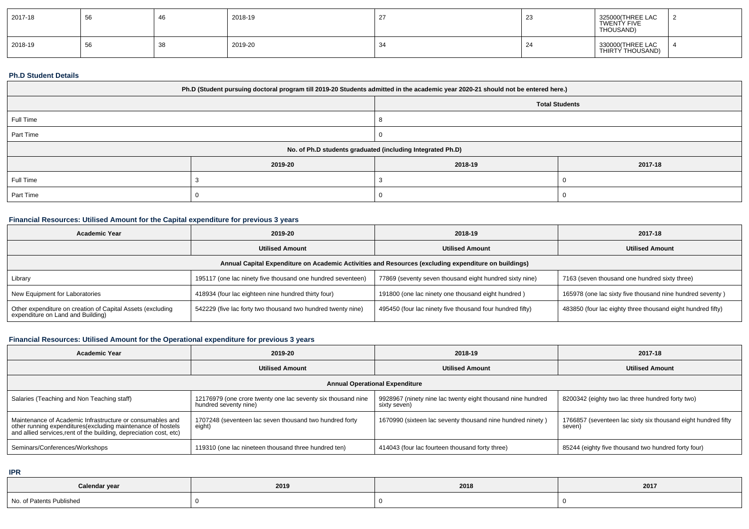| 2017-18 | <b>EG</b><br>ັບບ | 40 | 2018-19 | ت            | 325000(THREE LAC<br>TWENTY FIVE<br>THOUSAND) |  |
|---------|------------------|----|---------|--------------|----------------------------------------------|--|
| 2018-19 | ັບບ              | 38 | 2019-20 | $\sim$<br>-4 | 330000 (THREE LAC<br>THIRTY THOUSAND)        |  |

#### **Ph.D Student Details**

| Ph.D (Student pursuing doctoral program till 2019-20 Students admitted in the academic year 2020-21 should not be entered here.) |         |         |         |  |  |  |
|----------------------------------------------------------------------------------------------------------------------------------|---------|---------|---------|--|--|--|
| <b>Total Students</b>                                                                                                            |         |         |         |  |  |  |
| Full Time                                                                                                                        |         |         |         |  |  |  |
| Part Time                                                                                                                        |         |         |         |  |  |  |
| No. of Ph.D students graduated (including Integrated Ph.D)                                                                       |         |         |         |  |  |  |
|                                                                                                                                  | 2019-20 | 2018-19 | 2017-18 |  |  |  |
| Full Time                                                                                                                        |         |         |         |  |  |  |
| Part Time                                                                                                                        |         |         |         |  |  |  |

### **Financial Resources: Utilised Amount for the Capital expenditure for previous 3 years**

| <b>Academic Year</b>                                                                                 | 2019-20                                                      | 2018-19                                                   | 2017-18                                                     |  |  |  |  |  |
|------------------------------------------------------------------------------------------------------|--------------------------------------------------------------|-----------------------------------------------------------|-------------------------------------------------------------|--|--|--|--|--|
|                                                                                                      | <b>Utilised Amount</b>                                       | <b>Utilised Amount</b>                                    | <b>Utilised Amount</b>                                      |  |  |  |  |  |
| Annual Capital Expenditure on Academic Activities and Resources (excluding expenditure on buildings) |                                                              |                                                           |                                                             |  |  |  |  |  |
| Library                                                                                              | 195117 (one lac ninety five thousand one hundred seventeen)  | 77869 (seventy seven thousand eight hundred sixty nine)   | 7163 (seven thousand one hundred sixty three)               |  |  |  |  |  |
| New Equipment for Laboratories                                                                       | 418934 (four lac eighteen nine hundred thirty four)          | 191800 (one lac ninety one thousand eight hundred)        | 165978 (one lac sixty five thousand nine hundred seventy)   |  |  |  |  |  |
| Other expenditure on creation of Capital Assets (excluding<br>expenditure on Land and Building)      | 542229 (five lac forty two thousand two hundred twenty nine) | 495450 (four lac ninety five thousand four hundred fifty) | 483850 (four lac eighty three thousand eight hundred fifty) |  |  |  |  |  |

## **Financial Resources: Utilised Amount for the Operational expenditure for previous 3 years**

| <b>Academic Year</b>                                                                                                                                                                           | 2019-20                                                                               | 2018-19                                                                     | 2017-18                                                                 |
|------------------------------------------------------------------------------------------------------------------------------------------------------------------------------------------------|---------------------------------------------------------------------------------------|-----------------------------------------------------------------------------|-------------------------------------------------------------------------|
|                                                                                                                                                                                                | <b>Utilised Amount</b>                                                                | <b>Utilised Amount</b>                                                      | <b>Utilised Amount</b>                                                  |
|                                                                                                                                                                                                |                                                                                       | <b>Annual Operational Expenditure</b>                                       |                                                                         |
| Salaries (Teaching and Non Teaching staff)                                                                                                                                                     | 12176979 (one crore twenty one lac seventy six thousand nine<br>hundred seventy nine) | 9928967 (ninety nine lac twenty eight thousand nine hundred<br>sixty seven) | 8200342 (eighty two lac three hundred forty two)                        |
| Maintenance of Academic Infrastructure or consumables and<br>other running expenditures(excluding maintenance of hostels<br>and allied services, rent of the building, depreciation cost, etc) | 1707248 (seventeen lac seven thousand two hundred forty<br>eight)                     | 1670990 (sixteen lac seventy thousand nine hundred ninety)                  | 1766857 (seventeen lac sixty six thousand eight hundred fifty<br>seven) |
| Seminars/Conferences/Workshops                                                                                                                                                                 | 119310 (one lac nineteen thousand three hundred ten)                                  | 414043 (four lac fourteen thousand forty three)                             | 85244 (eighty five thousand two hundred forty four)                     |

**IPR**

| Calendar year            | 2019 | 2018 | 2017 |
|--------------------------|------|------|------|
| No. of Patents Published |      |      |      |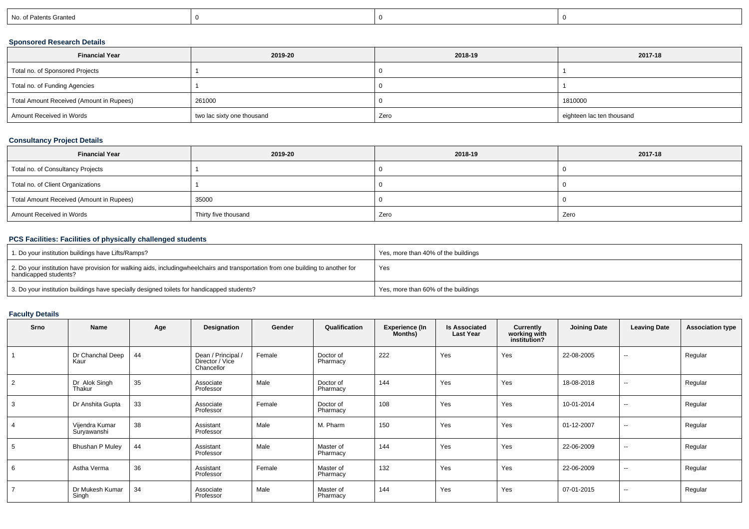| No. of Patents Granted |
|------------------------|
|------------------------|

## **Sponsored Research Details**

| <b>Financial Year</b>                    | 2019-20                    | 2018-19 | 2017-18                   |
|------------------------------------------|----------------------------|---------|---------------------------|
| Total no. of Sponsored Projects          |                            |         |                           |
| Total no. of Funding Agencies            |                            |         |                           |
| Total Amount Received (Amount in Rupees) | 261000                     |         | 1810000                   |
| Amount Received in Words                 | two lac sixty one thousand | Zero    | eighteen lac ten thousand |

## **Consultancy Project Details**

| <b>Financial Year</b>                    | 2019-20              | 2018-19 | 2017-18 |
|------------------------------------------|----------------------|---------|---------|
| Total no. of Consultancy Projects        |                      |         |         |
| Total no. of Client Organizations        |                      |         |         |
| Total Amount Received (Amount in Rupees) | 35000                |         |         |
| Amount Received in Words                 | Thirty five thousand | Zero    | Zero    |

## **PCS Facilities: Facilities of physically challenged students**

| 1. Do your institution buildings have Lifts/Ramps?                                                                                                        | Yes, more than 40% of the buildings |
|-----------------------------------------------------------------------------------------------------------------------------------------------------------|-------------------------------------|
| 2. Do your institution have provision for walking aids, includingwheelchairs and transportation from one building to another for<br>handicapped students? | Yes                                 |
| 3. Do your institution buildings have specially designed toilets for handicapped students?                                                                | Yes, more than 60% of the buildings |

# **Faculty Details**

| Srno           | Name                          | Age | Designation                                         | Gender | Qualification         | <b>Experience (In</b><br>Months) | <b>Is Associated</b><br><b>Last Year</b> | Currently<br>working with<br>institution? | <b>Joining Date</b> | <b>Leaving Date</b>      | <b>Association type</b> |
|----------------|-------------------------------|-----|-----------------------------------------------------|--------|-----------------------|----------------------------------|------------------------------------------|-------------------------------------------|---------------------|--------------------------|-------------------------|
|                | Dr Chanchal Deep<br>Kaur      | 44  | Dean / Principal /<br>Director / Vice<br>Chancellor | Female | Doctor of<br>Pharmacy | 222                              | Yes                                      | Yes                                       | 22-08-2005          | $\overline{\phantom{a}}$ | Regular                 |
| 2              | Dr Alok Singh<br>Thakur       | 35  | Associate<br>Professor                              | Male   | Doctor of<br>Pharmacy | 144                              | Yes                                      | Yes                                       | 18-08-2018          | $\sim$                   | Regular                 |
| 3              | Dr Anshita Gupta              | 33  | Associate<br>Professor                              | Female | Doctor of<br>Pharmacy | 108                              | Yes                                      | Yes                                       | 10-01-2014          | $\overline{\phantom{a}}$ | Regular                 |
| 4              | Vijendra Kumar<br>Suryawanshi | 38  | Assistant<br>Professor                              | Male   | M. Pharm              | 150                              | Yes                                      | Yes                                       | 01-12-2007          | $\sim$                   | Regular                 |
| 5              | <b>Bhushan P Muley</b>        | 44  | Assistant<br>Professor                              | Male   | Master of<br>Pharmacy | 144                              | Yes                                      | Yes                                       | 22-06-2009          | $\sim$                   | Regular                 |
| 6              | Astha Verma                   | 36  | Assistant<br>Professor                              | Female | Master of<br>Pharmacy | 132                              | Yes                                      | Yes                                       | 22-06-2009          | $\sim$                   | Regular                 |
| $\overline{7}$ | Dr Mukesh Kumar<br>Singh      | 34  | Associate<br>Professor                              | Male   | Master of<br>Pharmacy | 144                              | Yes                                      | Yes                                       | 07-01-2015          | $\sim$                   | Regular                 |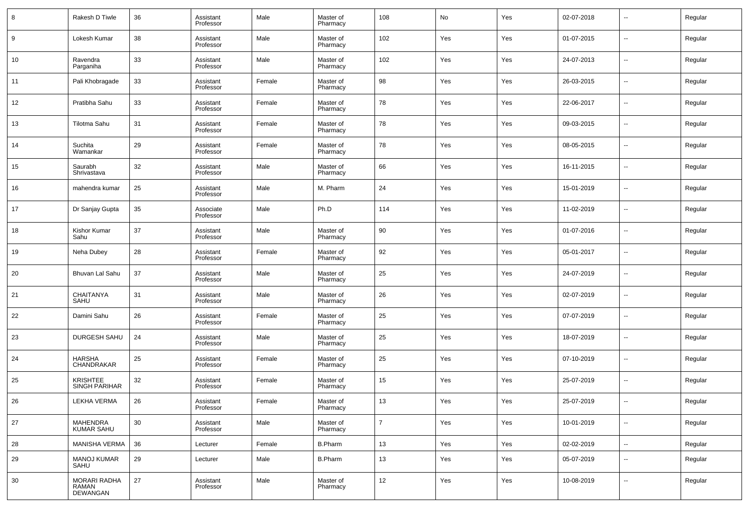| 8  | Rakesh D Tiwle                          | 36 | Assistant<br>Professor | Male   | Master of<br>Pharmacy | 108               | No  | Yes | 02-07-2018 | $\overline{\phantom{a}}$ | Regular |
|----|-----------------------------------------|----|------------------------|--------|-----------------------|-------------------|-----|-----|------------|--------------------------|---------|
| 9  | Lokesh Kumar                            | 38 | Assistant<br>Professor | Male   | Master of<br>Pharmacy | 102               | Yes | Yes | 01-07-2015 | $\overline{\phantom{a}}$ | Regular |
| 10 | Ravendra<br>Parganiha                   | 33 | Assistant<br>Professor | Male   | Master of<br>Pharmacy | 102               | Yes | Yes | 24-07-2013 | $\overline{\phantom{a}}$ | Regular |
| 11 | Pali Khobragade                         | 33 | Assistant<br>Professor | Female | Master of<br>Pharmacy | 98                | Yes | Yes | 26-03-2015 | $\overline{\phantom{a}}$ | Regular |
| 12 | Pratibha Sahu                           | 33 | Assistant<br>Professor | Female | Master of<br>Pharmacy | 78                | Yes | Yes | 22-06-2017 | $\overline{\phantom{a}}$ | Regular |
| 13 | Tilotma Sahu                            | 31 | Assistant<br>Professor | Female | Master of<br>Pharmacy | 78                | Yes | Yes | 09-03-2015 | $\overline{\phantom{a}}$ | Regular |
| 14 | Suchita<br>Wamankar                     | 29 | Assistant<br>Professor | Female | Master of<br>Pharmacy | 78                | Yes | Yes | 08-05-2015 | $\overline{\phantom{a}}$ | Regular |
| 15 | Saurabh<br>Shrivastava                  | 32 | Assistant<br>Professor | Male   | Master of<br>Pharmacy | 66                | Yes | Yes | 16-11-2015 | $\overline{\phantom{a}}$ | Regular |
| 16 | mahendra kumar                          | 25 | Assistant<br>Professor | Male   | M. Pharm              | 24                | Yes | Yes | 15-01-2019 | $\overline{\phantom{a}}$ | Regular |
| 17 | Dr Sanjay Gupta                         | 35 | Associate<br>Professor | Male   | Ph.D                  | 114               | Yes | Yes | 11-02-2019 | $\overline{\phantom{a}}$ | Regular |
| 18 | Kishor Kumar<br>Sahu                    | 37 | Assistant<br>Professor | Male   | Master of<br>Pharmacy | 90                | Yes | Yes | 01-07-2016 | $\overline{\phantom{a}}$ | Regular |
| 19 | Neha Dubey                              | 28 | Assistant<br>Professor | Female | Master of<br>Pharmacy | 92                | Yes | Yes | 05-01-2017 | $\overline{\phantom{a}}$ | Regular |
| 20 | Bhuvan Lal Sahu                         | 37 | Assistant<br>Professor | Male   | Master of<br>Pharmacy | 25                | Yes | Yes | 24-07-2019 | $\overline{\phantom{a}}$ | Regular |
| 21 | <b>CHAITANYA</b><br>SAHU                | 31 | Assistant<br>Professor | Male   | Master of<br>Pharmacy | 26                | Yes | Yes | 02-07-2019 | $\overline{\phantom{a}}$ | Regular |
| 22 | Damini Sahu                             | 26 | Assistant<br>Professor | Female | Master of<br>Pharmacy | 25                | Yes | Yes | 07-07-2019 | $\overline{\phantom{a}}$ | Regular |
| 23 | DURGESH SAHU                            | 24 | Assistant<br>Professor | Male   | Master of<br>Pharmacy | 25                | Yes | Yes | 18-07-2019 | $\overline{\phantom{a}}$ | Regular |
| 24 | <b>HARSHA</b><br>CHANDRAKAR             | 25 | Assistant<br>Professor | Female | Master of<br>Pharmacy | 25                | Yes | Yes | 07-10-2019 | $\overline{\phantom{a}}$ | Regular |
| 25 | <b>KRISHTEE</b><br><b>SINGH PARIHAR</b> | 32 | Assistant<br>Professor | Female | Master of<br>Pharmacy | 15                | Yes | Yes | 25-07-2019 | $\overline{\phantom{a}}$ | Regular |
| 26 | LEKHA VERMA                             | 26 | Assistant<br>Professor | Female | Master of<br>Pharmacy | 13                | Yes | Yes | 25-07-2019 | $\overline{\phantom{a}}$ | Regular |
| 27 | MAHENDRA<br><b>KUMAR SAHU</b>           | 30 | Assistant<br>Professor | Male   | Master of<br>Pharmacy | $\overline{7}$    | Yes | Yes | 10-01-2019 | $\overline{\phantom{a}}$ | Regular |
| 28 | MANISHA VERMA                           | 36 | Lecturer               | Female | <b>B.Pharm</b>        | 13                | Yes | Yes | 02-02-2019 | $\overline{\phantom{a}}$ | Regular |
| 29 | <b>MANOJ KUMAR</b><br>SAHU              | 29 | Lecturer               | Male   | <b>B.Pharm</b>        | 13                | Yes | Yes | 05-07-2019 | $\overline{\phantom{a}}$ | Regular |
| 30 | MORARI RADHA<br>RAMAN<br>DEWANGAN       | 27 | Assistant<br>Professor | Male   | Master of<br>Pharmacy | $12 \overline{ }$ | Yes | Yes | 10-08-2019 | $\overline{\phantom{a}}$ | Regular |